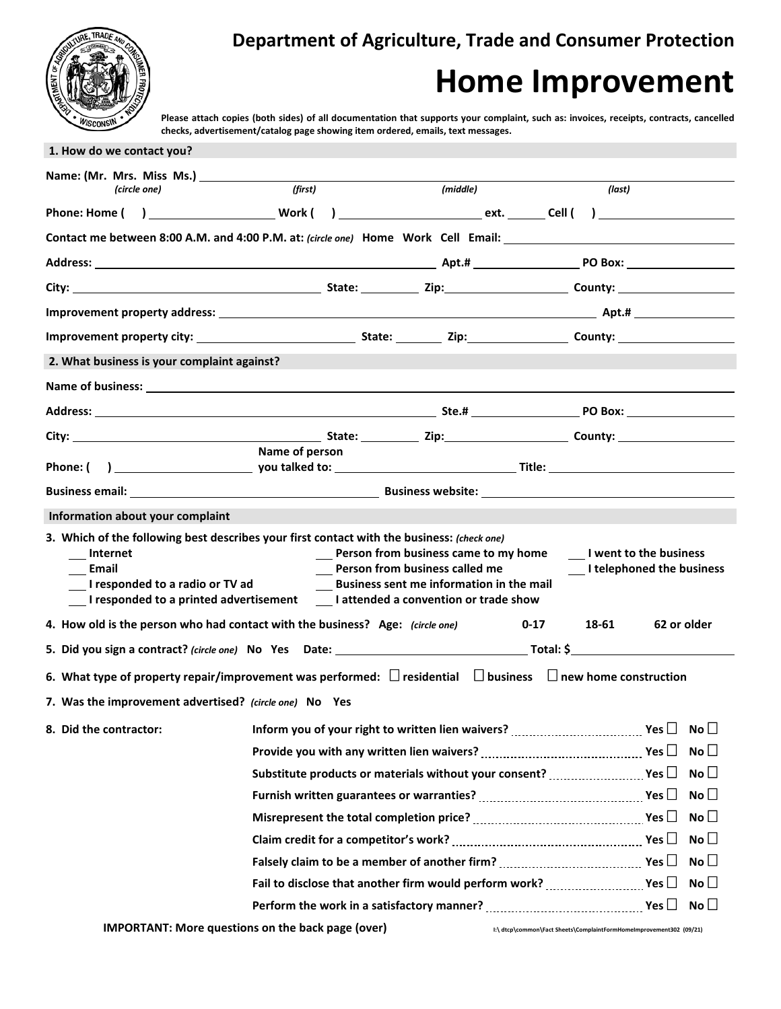

**Department of Agriculture, Trade and Consumer Protection**

## **Home Improvement**

**Please attach copies (both sides) of all documentation that supports your complaint, such as: invoices, receipts, contracts, cancelled checks, advertisement/catalog page showing item ordered, emails, text messages.**

| 1. How do we contact you?                                                                                                                                                                                                           |                                                          |                                                                                                                                                                                                                |                                                                     |                                                        |
|-------------------------------------------------------------------------------------------------------------------------------------------------------------------------------------------------------------------------------------|----------------------------------------------------------|----------------------------------------------------------------------------------------------------------------------------------------------------------------------------------------------------------------|---------------------------------------------------------------------|--------------------------------------------------------|
|                                                                                                                                                                                                                                     |                                                          |                                                                                                                                                                                                                |                                                                     |                                                        |
| (circle one)                                                                                                                                                                                                                        | (first)                                                  | (middle)                                                                                                                                                                                                       | (last)                                                              |                                                        |
| Phone: Home ( ) Work ( ) Work ( ) ext. Cell ( )                                                                                                                                                                                     |                                                          |                                                                                                                                                                                                                |                                                                     |                                                        |
| Contact me between 8:00 A.M. and 4:00 P.M. at: (circle one) Home Work Cell Email: ____________________________                                                                                                                      |                                                          |                                                                                                                                                                                                                |                                                                     |                                                        |
|                                                                                                                                                                                                                                     |                                                          |                                                                                                                                                                                                                |                                                                     |                                                        |
|                                                                                                                                                                                                                                     |                                                          |                                                                                                                                                                                                                |                                                                     |                                                        |
|                                                                                                                                                                                                                                     |                                                          |                                                                                                                                                                                                                |                                                                     |                                                        |
|                                                                                                                                                                                                                                     |                                                          |                                                                                                                                                                                                                |                                                                     |                                                        |
| 2. What business is your complaint against?                                                                                                                                                                                         |                                                          |                                                                                                                                                                                                                |                                                                     |                                                        |
| Name of business: <u>experience</u> and the contract of the contract of the contract of the contract of the contract of the contract of the contract of the contract of the contract of the contract of the contract of the contrac |                                                          |                                                                                                                                                                                                                |                                                                     |                                                        |
|                                                                                                                                                                                                                                     |                                                          |                                                                                                                                                                                                                |                                                                     |                                                        |
|                                                                                                                                                                                                                                     |                                                          |                                                                                                                                                                                                                |                                                                     |                                                        |
|                                                                                                                                                                                                                                     | Name of person                                           |                                                                                                                                                                                                                |                                                                     |                                                        |
|                                                                                                                                                                                                                                     |                                                          |                                                                                                                                                                                                                |                                                                     |                                                        |
|                                                                                                                                                                                                                                     |                                                          |                                                                                                                                                                                                                |                                                                     |                                                        |
| Information about your complaint                                                                                                                                                                                                    |                                                          |                                                                                                                                                                                                                |                                                                     |                                                        |
| 3. Which of the following best describes your first contact with the business: (check one)<br>Internet<br>Email<br>I responded to a radio or TV ad                                                                                  |                                                          | Person from business came to my home<br>Person from business called me<br><b>Business sent me information in the mail</b><br>__I responded to a printed advertisement ___I attended a convention or trade show |                                                                     | I went to the business<br>__ I telephoned the business |
| 4. How old is the person who had contact with the business? Age: (circle one)                                                                                                                                                       |                                                          |                                                                                                                                                                                                                | 18-61<br>$0 - 17$                                                   | 62 or older                                            |
|                                                                                                                                                                                                                                     |                                                          |                                                                                                                                                                                                                |                                                                     |                                                        |
| 6. What type of property repair/improvement was performed: $\Box$ residential $\Box$ business $\Box$ new home construction                                                                                                          |                                                          |                                                                                                                                                                                                                |                                                                     |                                                        |
| 7. Was the improvement advertised? (circle one) No Yes                                                                                                                                                                              |                                                          |                                                                                                                                                                                                                |                                                                     |                                                        |
| 8. Did the contractor:                                                                                                                                                                                                              |                                                          | Inform you of your right to written lien waivers? $\ldots$ $\ldots$ $\ldots$ $\ldots$ $\ldots$ Yes $\Box$                                                                                                      |                                                                     | $\mathsf{No}\,\Box$                                    |
|                                                                                                                                                                                                                                     |                                                          | Provide you with any written lien waivers? $\ldots$ $\ldots$ $\ldots$ $\ldots$ $\ldots$ $\ldots$ Yes $\Box$                                                                                                    |                                                                     | No <sub>1</sub>                                        |
|                                                                                                                                                                                                                                     |                                                          | Substitute products or materials without your consent? $\ldots$ $\ldots$ $\ldots$ Yes $\Box$                                                                                                                   |                                                                     | No $\square$                                           |
|                                                                                                                                                                                                                                     |                                                          | Furnish written guarantees or warranties? $\ldots$ $\ldots$ $\ldots$ $\ldots$ $\ldots$ $\ldots$ Yes $\Box$                                                                                                     |                                                                     | No $\square$                                           |
|                                                                                                                                                                                                                                     |                                                          | Misrepresent the total completion price? $\ldots$ $\ldots$ $\ldots$ $\ldots$ $\ldots$ $\ldots$ Yes $\Box$                                                                                                      |                                                                     | No                                                     |
|                                                                                                                                                                                                                                     |                                                          | Claim credit for a competitor's work? $\ldots$ $\ldots$ $\ldots$ $\ldots$ $\ldots$ $\ldots$ $\ldots$ Yes $\Box$                                                                                                |                                                                     | No <sub>1</sub>                                        |
|                                                                                                                                                                                                                                     |                                                          | Falsely claim to be a member of another firm? $\ldots$ $\ldots$ $\ldots$ $\ldots$ $\ldots$ $\ldots$ Yes $\Box$                                                                                                 |                                                                     | No <sup>T</sup>                                        |
|                                                                                                                                                                                                                                     |                                                          | Fail to disclose that another firm would perform work? $\ldots$ $\ldots$ Yes $\Box$                                                                                                                            |                                                                     | No                                                     |
|                                                                                                                                                                                                                                     |                                                          |                                                                                                                                                                                                                |                                                                     | No                                                     |
|                                                                                                                                                                                                                                     | <b>IMPORTANT: More questions on the back page (over)</b> |                                                                                                                                                                                                                | I:\ dtcp\common\Fact Sheets\ComplaintFormHomeImprovement302 (09/21) |                                                        |